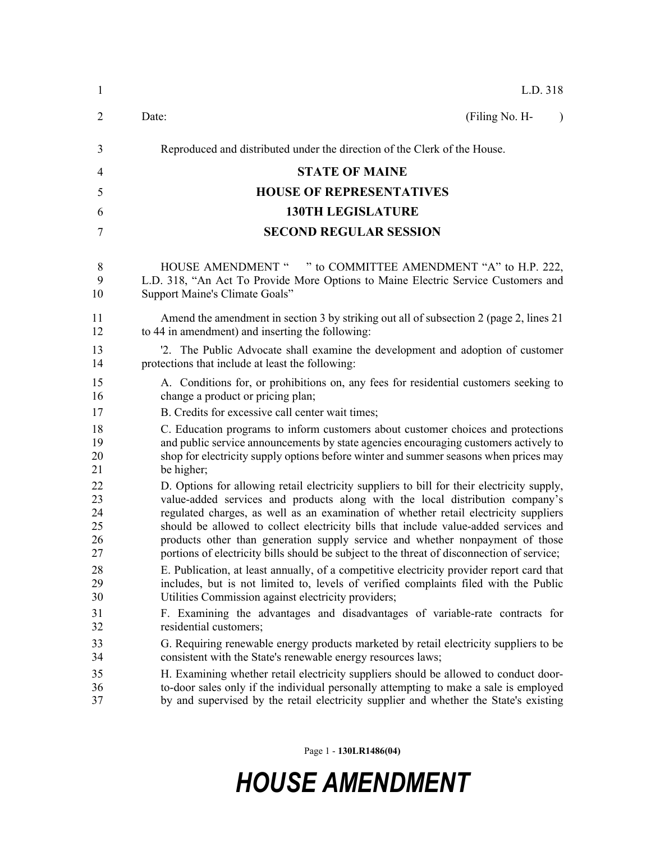| $\mathbf{1}$   | L.D. 318                                                                                   |
|----------------|--------------------------------------------------------------------------------------------|
| $\overline{2}$ | (Filing No. H-<br>Date:<br>$\lambda$                                                       |
| 3              | Reproduced and distributed under the direction of the Clerk of the House.                  |
| 4              | <b>STATE OF MAINE</b>                                                                      |
| 5              | <b>HOUSE OF REPRESENTATIVES</b>                                                            |
| 6              | <b>130TH LEGISLATURE</b>                                                                   |
| 7              | <b>SECOND REGULAR SESSION</b>                                                              |
| 8              | HOUSE AMENDMENT " " to COMMITTEE AMENDMENT "A" to H.P. 222,                                |
| 9              | L.D. 318, "An Act To Provide More Options to Maine Electric Service Customers and          |
| 10             | Support Maine's Climate Goals"                                                             |
| 11             | Amend the amendment in section 3 by striking out all of subsection 2 (page 2, lines 21)    |
| 12             | to 44 in amendment) and inserting the following:                                           |
| 13             | '2. The Public Advocate shall examine the development and adoption of customer             |
| 14             | protections that include at least the following:                                           |
| 15             | A. Conditions for, or prohibitions on, any fees for residential customers seeking to       |
| 16             | change a product or pricing plan;                                                          |
| 17             | B. Credits for excessive call center wait times;                                           |
| 18             | C. Education programs to inform customers about customer choices and protections           |
| 19             | and public service announcements by state agencies encouraging customers actively to       |
| 20             | shop for electricity supply options before winter and summer seasons when prices may       |
| 21             | be higher;                                                                                 |
| 22             | D. Options for allowing retail electricity suppliers to bill for their electricity supply, |
| 23             | value-added services and products along with the local distribution company's              |
| 24             | regulated charges, as well as an examination of whether retail electricity suppliers       |
| 25             | should be allowed to collect electricity bills that include value-added services and       |
| 26             | products other than generation supply service and whether nonpayment of those              |
| 27             | portions of electricity bills should be subject to the threat of disconnection of service; |
| 28             | E. Publication, at least annually, of a competitive electricity provider report card that  |
| 29             | includes, but is not limited to, levels of verified complaints filed with the Public       |
| 30             | Utilities Commission against electricity providers;                                        |
| 31             | F. Examining the advantages and disadvantages of variable-rate contracts for               |
| 32             | residential customers;                                                                     |
| 33             | G. Requiring renewable energy products marketed by retail electricity suppliers to be      |
| 34             | consistent with the State's renewable energy resources laws;                               |
| 35             | H. Examining whether retail electricity suppliers should be allowed to conduct door-       |
| 36             | to-door sales only if the individual personally attempting to make a sale is employed      |
| 37             | by and supervised by the retail electricity supplier and whether the State's existing      |

Page 1 - **130LR1486(04)**

## *HOUSE AMENDMENT*